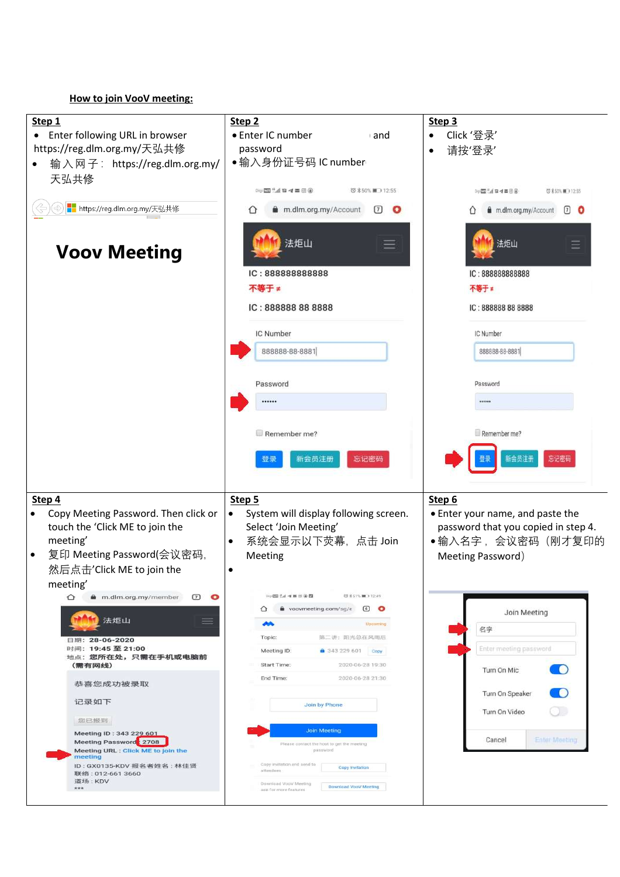## How to join VooV meeting: